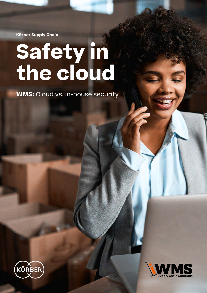**Körber Supply Chain**

# **Safety in the cloud**

**WMS:** Cloud vs. in-house security



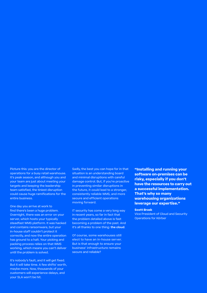Picture this: you are the director of operations for a busy retail warehouse. It's peak season, and although you and your team are just about meeting your targets and keeping the leadership team satisfied, the tiniest disruption could cause huge ramifications for the entire business.

One day you arrive at work to find there's been a huge problem. Overnight, there was an error on your server, which hosts your typically steadfast WMS platform. It was hacked and contains ransomware, but your in-house staff couldn't protect it correctly, and now the entire operation has ground to a halt. Your picking and packing process relies on that WMS working, which means you can't deliver until the problem is solved.

It's nobody's fault, and it will get fixed. But it will take time. A few shifts' worth, maybe more. Now, thousands of your customers will experience delays, and your SLA won't be hit.

Sadly, the best you can hope for in that situation is an understanding board and minimal disruptions with careful damage control. But, if you're proactive in preventing similar disruptions in the future, it could lead to a stronger, consistently reliable WMS, and more secure and efficient operations moving forward.

IT security has come a very long way in recent years, so far in fact that the problem detailed above is fast becoming a problem of the past. And it's all thanks to one thing: **the cloud**.

Of course, some warehouses still elect to have an in-house server. But is that enough to ensure your business' infrastructure remains secure and reliable?

**"Installing and running your software on-premises can be risky, especially if you don't have the resources to carry out a successful implementation. That's why so many warehousing organizations leverage our expertise."**

#### **Scott Brask**

Vice President of Cloud and Security Operations for Körber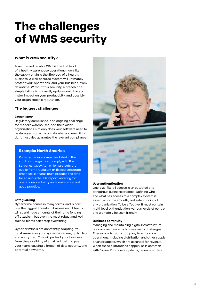# **The challenges of WMS security**

# **What is WMS security?**

A secure and reliable WMS is the lifeblood of a healthy warehouse operation, much like the supply chain is the lifeblood of a healthy business. A well-secured system will ultimately protect your operations, and your business, from downtime. Without this security, a breach or a simple failure to correctly update could have a major impact on your productivity, and possibly your organization's reputation.

# **The biggest challenges**

# **Compliance**

Regulatory compliance is an ongoing challenge for modern warehouses, and their wider organizations. Not only does your software need to be deployed correctly, and do what you need it to do, it must also guarantee the relevant compliance.

# **Example: North America**

Publicly-trading companies listed in the stock exchange must comply with the Sarbanes-Oxley Act, which protects the public from fraudulent or flawed corporate practices. IT teams must produce the data for an accurate SOX report, allowing for operational certainty and consistency and good practice.

# **Safeguarding**

Cybercrime comes in many forms, and is now one the biggest threats to businesses. IT teams will spend huge amounts of their time fending off attacks – but even the most robust and welltrained teams can't stop everything.

Cyber criminals are constantly adapting. You must make sure your system is secure, up to date and encrypted. This will protect your business from the possibility of an attack getting past your team, causing a breach of data security, and potential downtime.



# **User authentication**

One-size-fits-all access is an outdated and dangerous business practice. Defining who and what has access to a complex system is essential for the smooth, and safe, running of any organization. To be effective, it must contain multi-level authentication, various levels of control and ultimately be user-friendly.

# **Business continuity**

Managing and maintaining digital infrastructure is a complex task which poses many challenges. These can distract a company from its core operations, including distribution and other supply chain practices, which are essential for revenue. When these distractions happen, as is common with "owned" in-house systems, revenue suffers.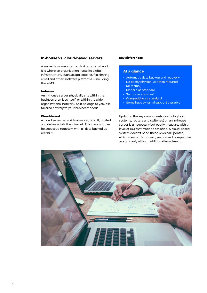# **In-house vs. cloud-based servers**

A server is a computer, or device, on a network. It is where an organization hosts its digital infrastructure, such as applications, file sharing, email and other software platforms – including the WMS.

#### **In-house**

An in-house server physically sits within the business premises itself, or within the wider organizational network. As it belongs to you, it is tailored entirely to your business' needs.

#### **Cloud-based**

A cloud server, or a virtual server, is built, hosted and delivered via the internet. This means it can be accessed remotely, with all data backed up within it.

## **Key differences**

# **At a glance**

- Automatic data backup and recovery
- No costly physical updates required (all virtual)
- Modern as standard
- Secure as standard
- Competitive as standard
- Some have external support available

Updating the key components (including host systems, routers and switches) on an in-house server is a necessary but costly measure, with a level of ROI that must be satisfied. A cloud-based system doesn't need these physical updates, which means it's modern, secure and competitive as standard, without additional investment.

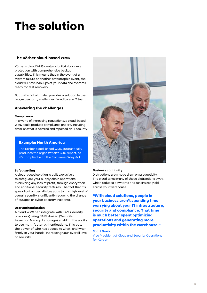# **The solution**

# **The Körber cloud-based WMS**

Körber's cloud WMS contains built-in business protection with comprehensive backup capabilities. This means that in the event of a system failure or another catastrophic event, the cloud will have backups of your data and systems ready for fast recovery.

But that's not all. It also provides a solution to the biggest security challenges faced by any IT team.

# **Answering the challenges**

# **Compliance**

In a world of increasing regulations, a cloud-based WMS could produce compliance papers, including detail on what is covered and reported on IT security.

# **Example: North America**

The Körber cloud-based WMS automatically produces the organization's SOC report, so it's compliant with the Sarbanes-Oxley Act.

# **Safeguarding**

A cloud-based solution is built exclusively to safeguard your supply chain operations, minimizing any loss of profit, through encryption and additional security features. The fact that it's spread out across all sites adds to this high level of overall security, significantly reducing the chance of outages or cyber security incidents.

# **User authentication**

A cloud WMS can integrate with IDPs (identity providers) using SAML-based (Security Assertion Markup Language) enabling the ability to use multi-factor authentications. This puts the power of who has access to what, and when, firmly in your hands, increasing your overall level of security.



# **Business continuity**

Distractions are a huge drain on productivity. The cloud takes many of those distractions away, which reduces downtime and maximizes yield across your warehouse.

**"With cloud solutions, people in your business aren't spending time worrying about your IT infrastructure, security and compliance. That time is much better spent optimizing operations and generating more productivity within the warehouse."**

# **Scott Brask**

Vice President of Cloud and Security Operations for Körber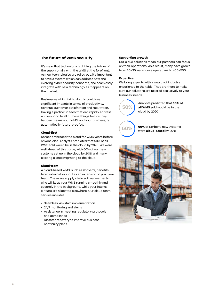# **The future of WMS security**

It's clear that technology is driving the future of the supply chain, with the WMS at the forefront. As new technologies are rolled out, it's important to have a system which can address new and evolving cyber security concerns, and seamlessly integrate with new technology as it appears on the market.

Businesses which fail to do this could see significant impacts in terms of productivity, revenue, customer satisfaction and reputation. Having a partner in tech that can rapidly address and respond to all of these things before they happen means your WMS, and your business, is automatically future-proofed.

#### **Cloud-first**

Körber embraced the cloud for WMS years before anyone else. Analysts predicted that 50% of all WMS sold would be in the cloud by 2020. We were well ahead of this curve, with 60% of our new systems set up in the cloud by 2018 and many existing clients migrating to the cloud.

#### **Cloud team**

A cloud-based WMS, such as Körber's, benefits from external support as an extension of your own team. These are supply chain software experts who will keep your WMS running smoothly and securely in the background, while your internal IT team are allocated elsewhere. Our cloud team service includes:

- Seamless kickstart implementation
- 24/7 monitoring and alerts
- Assistance in meeting regulatory protocols and compliance
- Disaster recovery to improve business continuity plans

## **Supporting growth**

Our cloud solutions mean our partners can focus on their operations. As a result, many have grown from 20–30 warehouse operatives to 400–500.

### **Expertise**

We bring experts with a wealth of industry experience to the table. They are there to make sure our solutions are tailored exclusively to your business' needs.

**50%**

Analysts predicted that **50% of all WMS** sold would be in the cloud by 2020

**60%**

**60%** of Körber's new systems were **cloud-based** by 2018

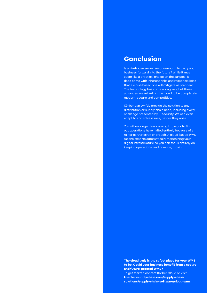# **Conclusion**

Is an in-house server secure enough to carry your business forward into the future? While it may seem like a practical choice on the surface, it does come with inherent risks and responsibilities that a cloud-based one will mitigate as standard. The technology has come a long way, but these advances are reliant on the cloud to be completely modern, secure and competitive.

Körber can swiftly provide the solution to any distribution or supply chain need, including every challenge presented by IT security. We can even adapt to and solve issues, before they arise.

You will no longer fear coming into work to find out operations have halted entirely because of a minor server error, or breach. A cloud-based WMS means experts automatically maintaining your digital infrastructure so you can focus entirely on keeping operations, and revenue, moving.

**The cloud truly is the safest place for your WMS to be. Could your business benefit from a secure and future-proofed WMS?** To get started contact Körber Cloud or visit:

**[koerber-supplychain.com/supply-chain](http://koerber-supplychain.com/supply-chain-solutions/supply-chain-software/cloud-wms)[solutions/supply-chain-software/cloud-wms](http://koerber-supplychain.com/supply-chain-solutions/supply-chain-software/cloud-wms)**